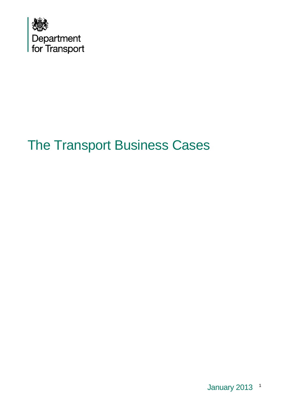

# The Transport Business Cases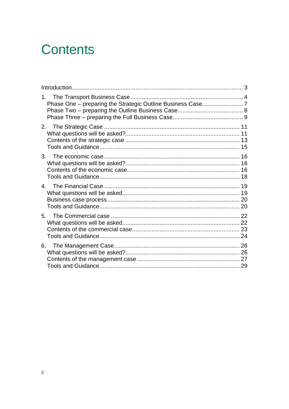# **Contents**

| 1 <sub>1</sub> |  |
|----------------|--|
| 2.             |  |
| 3.             |  |
| $\mathbf{4}$   |  |
| 5 <sub>1</sub> |  |
| 6.             |  |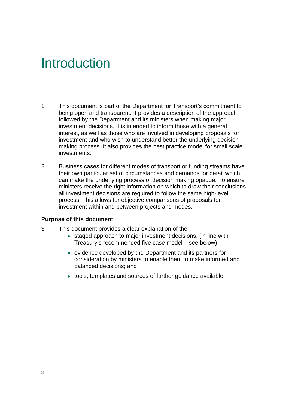# <span id="page-2-0"></span>**Introduction**

- 1 This document is part of the Department for Transport's commitment to being open and transparent. It provides a description of the approach followed by the Department and its ministers when making major investment decisions. It is intended to inform those with a general interest, as well as those who are involved in developing proposals for investment and who wish to understand better the underlying decision making process. It also provides the best practice model for small scale investments.
- 2 Business cases for different modes of transport or funding streams have their own particular set of circumstances and demands for detail which can make the underlying process of decision making opaque. To ensure ministers receive the right information on which to draw their conclusions, all investment decisions are required to follow the same high-level process. This allows for objective comparisons of proposals for investment within and between projects and modes.

#### **Purpose of this document**

- 3 This document provides a clear explanation of the:
	- staged approach to major investment decisions, (in line with Treasury's recommended five case model – see below);
	- evidence developed by the Department and its partners for consideration by ministers to enable them to make informed and balanced decisions; and
	- tools, templates and sources of further guidance available.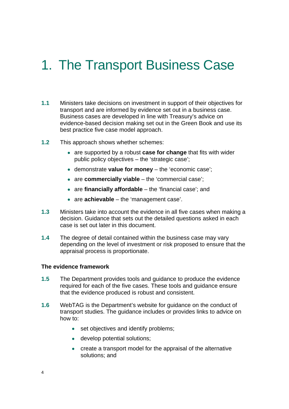# <span id="page-3-0"></span>1. The Transport Business Case

- **1.1** Ministers take decisions on investment in support of their objectives for transport and are informed by evidence set out in a business case. Business cases are developed in line with Treasury's advice on evidence-based decision making set out in the Green Book and use its best practice five case model approach.
- **1.2** This approach shows whether schemes:
	- are supported by a robust **case for change** that fits with wider public policy objectives – the 'strategic case';
	- demonstrate **value for money** the 'economic case';
	- are **commercially viable** the 'commercial case';
	- are **financially affordable** the 'financial case'; and
	- are **achievable** the 'management case'.
- **1.3** Ministers take into account the evidence in all five cases when making a decision. Guidance that sets out the detailed questions asked in each case is set out later in this document.
- **1.4** The degree of detail contained within the business case may vary depending on the level of investment or risk proposed to ensure that the appraisal process is proportionate.

#### **The evidence framework**

- **1.5** The Department provides tools and guidance to produce the evidence required for each of the five cases. These tools and guidance ensure that the evidence produced is robust and consistent.
- **1.6** WebTAG is the Department's website for guidance on the conduct of transport studies. The guidance includes or provides links to advice on how to:
	- set objectives and identify problems:
	- **•** develop potential solutions;
	- create a transport model for the appraisal of the alternative solutions; and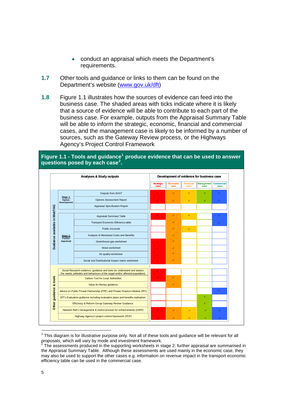- conduct an appraisal which meets the Department's requirements.
- **1.7** Other tools and guidance or links to them can be found on the Department's website [\(www.gov.uk/dft\)](http://www.gov.uk/dft)
- **1.8** Figure 1.1 illustrates how the sources of evidence can feed into the business case. The shaded areas with ticks indicate where it is likely that a source of evidence will be able to contribute to each part of the business case. For example, outputs from the Appraisal Summary Table will be able to inform the strategic, economic, financial and commercial cases, and the management case is likely to be informed by a number of sources, such as the Gateway Review process, or the Highways Agency's Project Control Framework

**Figure 1.1 - Tools and guidance[1](#page-4-0) produce evidence that can be used to answer questions posed by each case[2](#page-4-1) .** 

|                              |                                   | Analyses & Study outputs                                                        | Development of evidence for business case |                         |                          |                           |                           |
|------------------------------|-----------------------------------|---------------------------------------------------------------------------------|-------------------------------------------|-------------------------|--------------------------|---------------------------|---------------------------|
|                              |                                   |                                                                                 | <b>Strategic</b><br>case                  | <b>Economic</b><br>case | <b>Financial</b><br>case | <b>Management</b><br>case | <b>Commercial</b><br>case |
|                              |                                   | Outputs from EAST                                                               |                                           | ✓                       | ✓                        |                           |                           |
|                              | Stage 1:<br>Option<br>development | <b>Options Assessment Report</b>                                                |                                           | $\checkmark$            | ◆                        |                           |                           |
|                              |                                   | Appraisal Specification Report                                                  |                                           |                         |                          |                           |                           |
|                              |                                   | Appraisal Summary Table                                                         |                                           | ✓                       | ✓                        |                           |                           |
|                              |                                   | Transport Economic Efficiency table                                             |                                           | ✓                       |                          |                           |                           |
|                              |                                   | Public Accounts                                                                 |                                           | $\checkmark$            | ✓                        |                           |                           |
|                              | Stage 2:                          | Analysis of Monetised Costs and Benefits                                        |                                           | $\checkmark$            |                          |                           |                           |
| Guidance available in WebTAG | <b>Further</b><br>Appraisal       | Greenhouse gas worksheet                                                        |                                           | $\checkmark$            |                          |                           |                           |
|                              |                                   | Noise worksheet                                                                 |                                           | $\checkmark$            |                          |                           |                           |
|                              |                                   | Air quality worksheet                                                           |                                           | $\checkmark$            |                          |                           |                           |
|                              |                                   | Social and Distributional Impact matrix worksheet                               |                                           | ✓                       |                          |                           |                           |
|                              |                                   | Social Research evidence, guidance and tools (to understand and assess          |                                           |                         |                          |                           |                           |
|                              |                                   | the needs, attitudes and behaviours of the target and/or affected population)   |                                           |                         |                          |                           |                           |
|                              |                                   | <b>Carbon Tool for Local Authorities</b>                                        |                                           | $\checkmark$            |                          |                           |                           |
|                              |                                   | Value for Money guidance                                                        |                                           | $\checkmark$            |                          |                           |                           |
|                              |                                   | Advice on Public Private Partnership (PPP) and Private Finance Initiative (PFI) |                                           |                         |                          |                           | ✓                         |
|                              |                                   | DfT's Evaluation guidance including evaluation plans and benefits realisation   |                                           |                         |                          | ✓                         |                           |
| Other guidance & tools       |                                   | Efficiency & Reform Group Gateway Review Guidance                               |                                           |                         |                          | ✓                         |                           |
|                              |                                   | Network Rail's management & control process for enhancements (GRIP)             |                                           | ✓                       | ✓                        | ✓                         |                           |
|                              |                                   | Highway Agency's project control framework (PCF)                                |                                           |                         |                          |                           |                           |

<sup>1</sup>  $1$  This diagram is for illustrative purpose only. Not all of these tools and guidance will be relevant for all

<span id="page-4-1"></span><span id="page-4-0"></span>proposals, which will vary by mode and investment framework.<br><sup>2</sup> The assessments produced in the supporting worksheets in stage 2: further appraisal are summarised in the Appraisal Summary Table. Although these assessments are used mainly in the economic case, they may also be used to support the other cases e.g. information on revenue impact in the transport economic efficiency table can be used in the commercial case.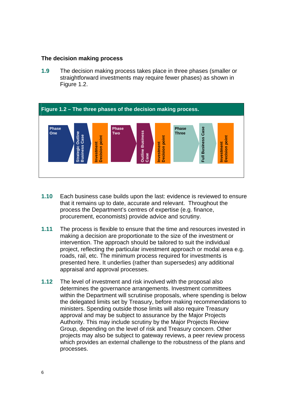#### **The decision making process**

**1.9** The decision making process takes place in three phases (smaller or straightforward investments may require fewer phases) as shown in Figure 1.2.



- **1.10** Each business case builds upon the last: evidence is reviewed to ensure that it remains up to date, accurate and relevant. Throughout the process the Department's centres of expertise (e.g. finance, procurement, economists) provide advice and scrutiny.
- **1.11** The process is flexible to ensure that the time and resources invested in making a decision are proportionate to the size of the investment or intervention. The approach should be tailored to suit the individual project, reflecting the particular investment approach or modal area e.g. roads, rail, etc. The minimum process required for investments is presented here. It underlies (rather than supersedes) any additional appraisal and approval processes.
- **1.12** The level of investment and risk involved with the proposal also determines the governance arrangements. Investment committees within the Department will scrutinise proposals, where spending is below the delegated limits set by Treasury, before making recommendations to ministers. Spending outside those limits will also require Treasury approval and may be subject to assurance by the Major Projects Authority. This may include scrutiny by the Major Projects Review Group, depending on the level of risk and Treasury concern. Other projects may also be subject to gateway reviews, a peer review process which provides an external challenge to the robustness of the plans and processes.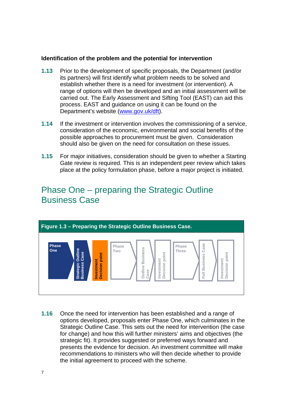#### **Identification of the problem and the potential for intervention**

- **1.13** Prior to the development of specific proposals, the Department (and/or its partners) will first identify what problem needs to be solved and establish whether there is a need for investment (or intervention). A range of options will then be developed and an initial assessment will be carried out. The Early Assessment and Sifting Tool (EAST) can aid this process. EAST and guidance on using it can be found on the Department's website [\(www.gov.uk/dft\)](http://www.gov.uk/dft).
- **1.14** If the investment or intervention involves the commissioning of a service, consideration of the economic, environmental and social benefits of the possible approaches to procurement must be given. Consideration should also be given on the need for consultation on these issues.
- **1.15** For major initiatives, consideration should be given to whether a Starting Gate review is required. This is an independent peer review which takes place at the policy formulation phase, before a major project is initiated.

## <span id="page-6-0"></span>Phase One – preparing the Strategic Outline Business Case



**1.16** Once the need for intervention has been established and a range of options developed, proposals enter Phase One, which culminates in the Strategic Outline Case. This sets out the need for intervention (the case for change) and how this will further ministers' aims and objectives (the strategic fit). It provides suggested or preferred ways forward and presents the evidence for decision. An investment committee will make recommendations to ministers who will then decide whether to provide the initial agreement to proceed with the scheme.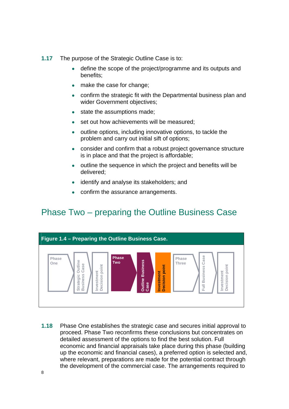- **1.17** The purpose of the Strategic Outline Case is to:
	- define the scope of the project/programme and its outputs and benefits;
	- make the case for change;
	- confirm the strategic fit with the Departmental business plan and wider Government objectives;
	- state the assumptions made;
	- set out how achievements will be measured;
	- outline options, including innovative options, to tackle the problem and carry out initial sift of options;
	- consider and confirm that a robust project governance structure is in place and that the project is affordable;
	- outline the sequence in which the project and benefits will be delivered;
	- identify and analyse its stakeholders; and
	- confirm the assurance arrangements.

## Phase Two – preparing the Outline Business Case

<span id="page-7-0"></span>

**1.18** Phase One establishes the strategic case and secures initial approval to proceed. Phase Two reconfirms these conclusions but concentrates on detailed assessment of the options to find the best solution. Full economic and financial appraisals take place during this phase (building up the economic and financial cases), a preferred option is selected and, where relevant, preparations are made for the potential contract through the development of the commercial case. The arrangements required to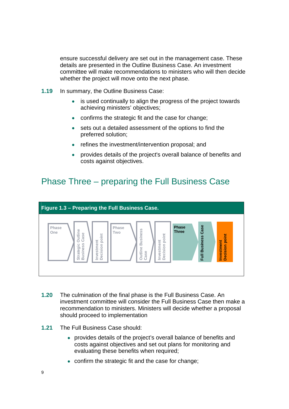ensure successful delivery are set out in the management case. These details are presented in the Outline Business Case. An investment committee will make recommendations to ministers who will then decide whether the project will move onto the next phase.

- **1.19** In summary, the Outline Business Case:
	- is used continually to align the progress of the project towards achieving ministers' objectives;
	- confirms the strategic fit and the case for change;
	- sets out a detailed assessment of the options to find the preferred solution;
	- refines the investment/intervention proposal; and
	- provides details of the project's overall balance of benefits and costs against objectives.

## Phase Three – preparing the Full Business Case

<span id="page-8-0"></span>

- **1.20** The culmination of the final phase is the Full Business Case. An investment committee will consider the Full Business Case then make a recommendation to ministers. Ministers will decide whether a proposal should proceed to implementation
- **1.21** The Full Business Case should:
	- provides details of the project's overall balance of benefits and costs against objectives and set out plans for monitoring and evaluating these benefits when required;
	- confirm the strategic fit and the case for change;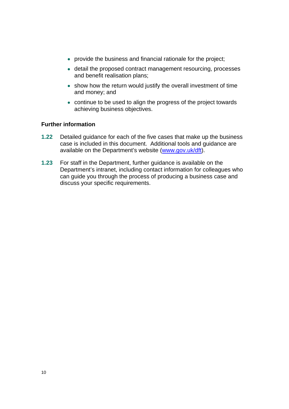- provide the business and financial rationale for the project;
- detail the proposed contract management resourcing, processes and benefit realisation plans;
- show how the return would justify the overall investment of time and money; and
- continue to be used to align the progress of the project towards achieving business objectives.

#### **Further information**

- **1.22** Detailed guidance for each of the five cases that make up the business case is included in this document. Additional tools and guidance are available on the Department's website ([www.gov.uk/dft](http://www.gov.uk/dft)).
- **1.23** For staff in the Department, further guidance is available on the Department's intranet, including contact information for colleagues who can guide you through the process of producing a business case and discuss your specific requirements.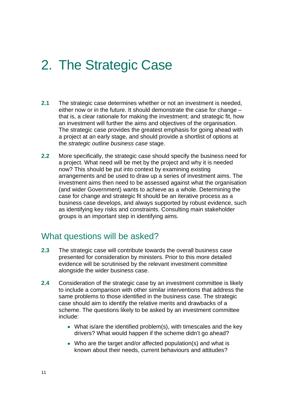# <span id="page-10-0"></span>2. The Strategic Case

- **2.1** The strategic case determines whether or not an investment is needed, either now or in the future. It should demonstrate the case for change – that is, a clear rationale for making the investment; and strategic fit, how an investment will further the aims and objectives of the organisation. The strategic case provides the greatest emphasis for going ahead with a project at an early stage, and should provide a shortlist of options at the *strategic outline business case* stage.
- **2.2** More specifically, the strategic case should specify the business need for a project. What need will be met by the project and why it is needed now? This should be put into context by examining existing arrangements and be used to draw up a series of investment aims. The investment aims then need to be assessed against what the organisation (and wider Government) wants to achieve as a whole. Determining the case for change and strategic fit should be an iterative process as a business case develops, and always supported by robust evidence, such as identifying key risks and constraints. Consulting main stakeholder groups is an important step in identifying aims.

### <span id="page-10-1"></span>What questions will be asked?

- **2.3** The strategic case will contribute towards the overall business case presented for consideration by ministers. Prior to this more detailed evidence will be scrutinised by the relevant investment committee alongside the wider business case.
- **2.4** Consideration of the strategic case by an investment committee is likely to include a comparison with other similar interventions that address the same problems to those identified in the business case. The strategic case should aim to identify the relative merits and drawbacks of a scheme. The questions likely to be asked by an investment committee include:
	- What is/are the identified problem(s), with timescales and the key drivers? What would happen if the scheme didn't go ahead?
	- Who are the target and/or affected population(s) and what is known about their needs, current behaviours and attitudes?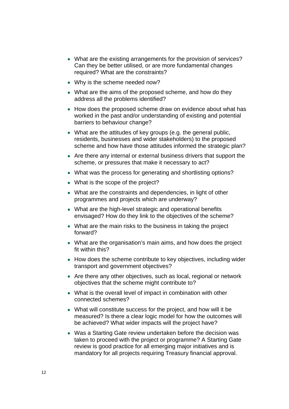- What are the existing arrangements for the provision of services? Can they be better utilised, or are more fundamental changes required? What are the constraints?
- Why is the scheme needed now?
- What are the aims of the proposed scheme, and how do they address all the problems identified?
- How does the proposed scheme draw on evidence about what has worked in the past and/or understanding of existing and potential barriers to behaviour change?
- What are the attitudes of key groups (e.g. the general public, residents, businesses and wider stakeholders) to the proposed scheme and how have those attitudes informed the strategic plan?
- Are there any internal or external business drivers that support the scheme, or pressures that make it necessary to act?
- What was the process for generating and shortlisting options?
- What is the scope of the project?
- What are the constraints and dependencies, in light of other programmes and projects which are underway?
- What are the high-level strategic and operational benefits envisaged? How do they link to the objectives of the scheme?
- What are the main risks to the business in taking the project forward?
- What are the organisation's main aims, and how does the project fit within this?
- How does the scheme contribute to key objectives, including wider transport and government objectives?
- Are there any other objectives, such as local, regional or network objectives that the scheme might contribute to?
- What is the overall level of impact in combination with other connected schemes?
- What will constitute success for the project, and how will it be measured? Is there a clear logic model for how the outcomes will be achieved? What wider impacts will the project have?
- Was a Starting Gate review undertaken before the decision was taken to proceed with the project or programme? A Starting Gate review is good practice for all emerging major initiatives and is mandatory for all projects requiring Treasury financial approval.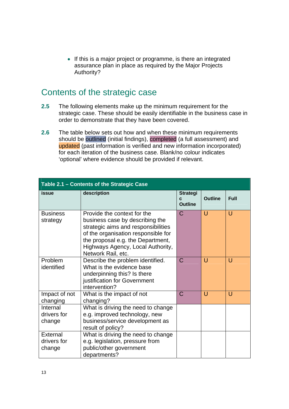• If this is a major project or programme, is there an integrated assurance plan in place as required by the Major Projects Authority?

### <span id="page-12-0"></span>Contents of the strategic case

- **2.5** The following elements make up the minimum requirement for the strategic case. These should be easily identifiable in the business case in order to demonstrate that they have been covered.
- **2.6** The table below sets out how and when these minimum requirements should be outlined (initial findings), completed (a full assessment) and updated (past information is verified and new information incorporated) for each iteration of the business case. Blank/no colour indicates 'optional' where evidence should be provided if relevant.

| Table 2.1 - Contents of the Strategic Case |                                                                                                                                                                                                                                              |                                        |                |             |  |
|--------------------------------------------|----------------------------------------------------------------------------------------------------------------------------------------------------------------------------------------------------------------------------------------------|----------------------------------------|----------------|-------------|--|
| issue                                      | description                                                                                                                                                                                                                                  | <b>Strategi</b><br>C<br><b>Outline</b> | <b>Outline</b> | <b>Full</b> |  |
| <b>Business</b><br>strategy                | Provide the context for the<br>business case by describing the<br>strategic aims and responsibilities<br>of the organisation responsible for<br>the proposal e.g. the Department,<br>Highways Agency, Local Authority,<br>Network Rail, etc. | C                                      | $\cup$         | $\cup$      |  |
| Problem<br>identified                      | Describe the problem identified.<br>What is the evidence base<br>underpinning this? Is there<br>justification for Government<br>intervention?                                                                                                | $\mathsf C$                            | $\cup$         | U           |  |
| Impact of not<br>changing                  | What is the impact of not<br>changing?                                                                                                                                                                                                       | C                                      | U              | $\cup$      |  |
| Internal<br>drivers for<br>change          | What is driving the need to change<br>e.g. improved technology, new<br>business/service development as<br>result of policy?                                                                                                                  |                                        |                |             |  |
| External<br>drivers for<br>change          | What is driving the need to change<br>e.g. legislation, pressure from<br>public/other government<br>departments?                                                                                                                             |                                        |                |             |  |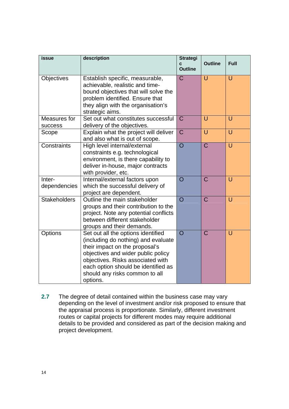| issue               | description                                                            | <b>Strategi</b>     |                |             |
|---------------------|------------------------------------------------------------------------|---------------------|----------------|-------------|
|                     |                                                                        | C<br><b>Outline</b> | <b>Outline</b> | <b>Full</b> |
|                     |                                                                        |                     |                |             |
| <b>Objectives</b>   | Establish specific, measurable,                                        | $\mathsf{C}$        | $\cup$         | U           |
|                     | achievable, realistic and time-                                        |                     |                |             |
|                     | bound objectives that will solve the                                   |                     |                |             |
|                     | problem identified. Ensure that                                        |                     |                |             |
|                     | they align with the organisation's                                     |                     |                |             |
|                     | strategic aims.                                                        |                     |                |             |
| Measures for        | Set out what constitutes successful                                    | $\mathcal{C}$       | $\cup$         | $\cup$      |
| success             | delivery of the objectives.                                            |                     |                |             |
| Scope               | Explain what the project will deliver                                  | $\mathsf{C}$        | U              | U           |
|                     | and also what is out of scope.                                         |                     |                |             |
| Constraints         | High level internal/external                                           | $\overline{O}$      | $\overline{C}$ | U           |
|                     | constraints e.g. technological                                         |                     |                |             |
|                     | environment, is there capability to                                    |                     |                |             |
|                     | deliver in-house, major contracts                                      |                     |                |             |
|                     | with provider, etc.                                                    |                     |                |             |
| Inter-              | Internal/external factors upon                                         | $\overline{O}$      | $\overline{C}$ | $\cup$      |
| dependencies        | which the successful delivery of                                       |                     |                |             |
|                     | project are dependent.                                                 |                     |                |             |
| <b>Stakeholders</b> | Outline the main stakeholder                                           | $\overline{O}$      | $\overline{C}$ | U           |
|                     | groups and their contribution to the                                   |                     |                |             |
|                     | project. Note any potential conflicts<br>between different stakeholder |                     |                |             |
|                     |                                                                        |                     |                |             |
| Options             | groups and their demands.<br>Set out all the options identified        | $\overline{O}$      | $\overline{C}$ | U           |
|                     | (including do nothing) and evaluate                                    |                     |                |             |
|                     | their impact on the proposal's                                         |                     |                |             |
|                     | objectives and wider public policy                                     |                     |                |             |
|                     | objectives. Risks associated with                                      |                     |                |             |
|                     | each option should be identified as                                    |                     |                |             |
|                     | should any risks common to all                                         |                     |                |             |
|                     | options.                                                               |                     |                |             |

**2.7** The degree of detail contained within the business case may vary depending on the level of investment and/or risk proposed to ensure that the appraisal process is proportionate. Similarly, different investment routes or capital projects for different modes may require additional details to be provided and considered as part of the decision making and project development.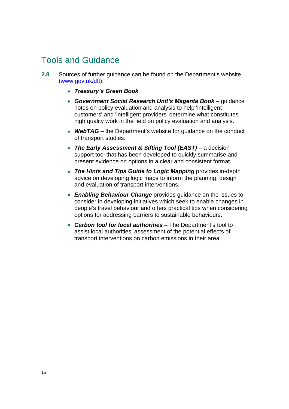- <span id="page-14-0"></span>**2.8** Sources of further guidance can be found on the Department's website [\(www.gov.uk/dft](http://www.gov.uk/dft)):
	- *Treasury's Green Book*
	- *Government Social Research Unit's Magenta Book* guidance notes on policy evaluation and analysis to help 'intelligent customers' and 'intelligent providers' determine what constitutes high quality work in the field on policy evaluation and analysis.
	- WebTAG the Department's website for quidance on the conduct of transport studies.
	- *The Early Assessment & Sifting Tool (EAST)* a decision support tool that has been developed to quickly summarise and present evidence on options in a clear and consistent format.
	- *The Hints and Tips Guide to Logic Mapping* provides in-depth advice on developing logic maps to inform the planning, design and evaluation of transport interventions.
	- *Enabling Behaviour Change* provides guidance on the issues to consider in developing initiatives which seek to enable changes in people's travel behaviour and offers practical tips when considering options for addressing barriers to sustainable behaviours.
	- *Carbon tool for local authorities* The Department's tool to assist local authorities' assessment of the potential effects of transport interventions on carbon emissions in their area.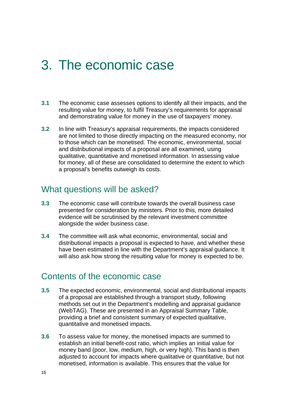# <span id="page-15-0"></span>3. The economic case

- **3.1** The economic case assesses options to identify all their impacts, and the resulting value for money, to fulfil Treasury's requirements for appraisal and demonstrating value for money in the use of taxpayers' money.
- **3.2** In line with Treasury's appraisal requirements, the impacts considered are not limited to those directly impacting on the measured economy, nor to those which can be monetised. The economic, environmental, social and distributional impacts of a proposal are all examined, using qualitative, quantitative and monetised information. In assessing value for money, all of these are consolidated to determine the extent to which a proposal's benefits outweigh its costs.

### <span id="page-15-1"></span>What questions will be asked?

- **3.3** The economic case will contribute towards the overall business case presented for consideration by ministers. Prior to this, more detailed evidence will be scrutinised by the relevant investment committee alongside the wider business case.
- **3.4** The committee will ask what economic, environmental, social and distributional impacts a proposal is expected to have, and whether these have been estimated in line with the Department's appraisal guidance. It will also ask how strong the resulting value for money is expected to be.

#### <span id="page-15-2"></span>Contents of the economic case

- **3.5** The expected economic, environmental, social and distributional impacts of a proposal are established through a transport study, following methods set out in the Department's modelling and appraisal guidance (WebTAG). These are presented in an Appraisal Summary Table, providing a brief and consistent summary of expected qualitative, quantitative and monetised impacts.
- **3.6** To assess value for money, the monetised impacts are summed to establish an initial benefit-cost ratio, which implies an initial value for money band (poor, low, medium, high, or very high). This band is then adjusted to account for impacts where qualitative or quantitative, but not monetised, information is available. This ensures that the value for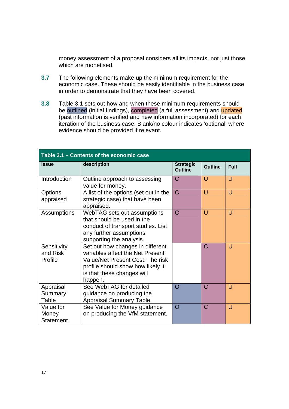money assessment of a proposal considers all its impacts, not just those which are monetised.

- **3.7** The following elements make up the minimum requirement for the economic case. These should be easily identifiable in the business case in order to demonstrate that they have been covered.
- **3.8** Table 3.1 sets out how and when these minimum requirements should be outlined (initial findings), completed (a full assessment) and updated (past information is verified and new information incorporated) for each iteration of the business case. Blank/no colour indicates 'optional' where evidence should be provided if relevant.

| Table 3.1 – Contents of the economic case |                                                                                                                                                                                        |                                    |                |        |  |
|-------------------------------------------|----------------------------------------------------------------------------------------------------------------------------------------------------------------------------------------|------------------------------------|----------------|--------|--|
| issue                                     | description                                                                                                                                                                            | <b>Strategic</b><br><b>Outline</b> | <b>Outline</b> | Full   |  |
| Introduction                              | Outline approach to assessing<br>value for money.                                                                                                                                      | C                                  | $\cup$         | U      |  |
| <b>Options</b><br>appraised               | A list of the options (set out in the<br>strategic case) that have been<br>appraised.                                                                                                  | $\mathsf{C}$                       | U              | U      |  |
| Assumptions                               | WebTAG sets out assumptions<br>that should be used in the<br>conduct of transport studies. List<br>any further assumptions<br>supporting the analysis.                                 | C                                  | U              | $\cup$ |  |
| Sensitivity<br>and Risk<br>Profile        | Set out how changes in different<br>variables affect the Net Present<br>Value/Net Present Cost. The risk<br>profile should show how likely it<br>is that these changes will<br>happen. |                                    | C              | U      |  |
| Appraisal<br>Summary<br>Table             | See WebTAG for detailed<br>guidance on producing the<br>Appraisal Summary Table.                                                                                                       | O                                  | C              | U      |  |
| Value for<br>Money<br><b>Statement</b>    | See Value for Money guidance<br>on producing the VfM statement.                                                                                                                        | O                                  | C              | U      |  |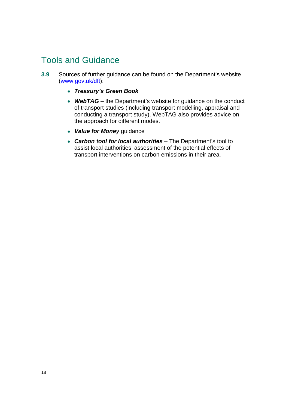- <span id="page-17-0"></span>**3.9** Sources of further guidance can be found on the Department's website [\(www.gov.uk/dft](http://www.gov.uk/dft)):
	- *Treasury's Green Book*
	- WebTAG the Department's website for guidance on the conduct of transport studies (including transport modelling, appraisal and conducting a transport study). WebTAG also provides advice on the approach for different modes.
	- *Value for Money* guidance
	- *Carbon tool for local authorities* The Department's tool to assist local authorities' assessment of the potential effects of transport interventions on carbon emissions in their area.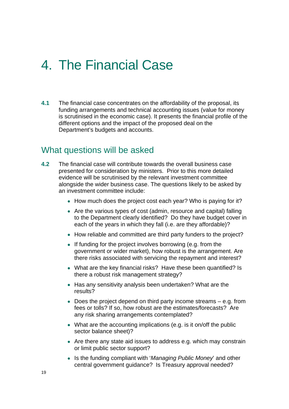# <span id="page-18-0"></span>4. The Financial Case

**4.1** The financial case concentrates on the affordability of the proposal, its funding arrangements and technical accounting issues (value for money is scrutinised in the economic case). It presents the financial profile of the different options and the impact of the proposed deal on the Department's budgets and accounts.

#### <span id="page-18-1"></span>What questions will be asked

- **4.2** The financial case will contribute towards the overall business case presented for consideration by ministers. Prior to this more detailed evidence will be scrutinised by the relevant investment committee alongside the wider business case. The questions likely to be asked by an investment committee include:
	- How much does the project cost each year? Who is paying for it?
	- Are the various types of cost (admin, resource and capital) falling to the Department clearly identified? Do they have budget cover in each of the years in which they fall (i.e. are they affordable)?
	- How reliable and committed are third party funders to the project?
	- If funding for the project involves borrowing (e.g. from the government or wider market), how robust is the arrangement. Are there risks associated with servicing the repayment and interest?
	- What are the key financial risks? Have these been quantified? Is there a robust risk management strategy?
	- Has any sensitivity analysis been undertaken? What are the results?
	- Does the project depend on third party income streams e.g. from fees or tolls? If so, how robust are the estimates/forecasts? Are any risk sharing arrangements contemplated?
	- What are the accounting implications (e.g. is it on/off the public sector balance sheet)?
	- Are there any state aid issues to address e.g. which may constrain or limit public sector support?
	- Is the funding compliant with '*Managing Public Money*' and other central government guidance? Is Treasury approval needed?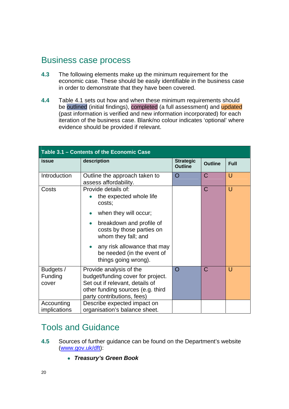## <span id="page-19-0"></span>Business case process

- **4.3** The following elements make up the minimum requirement for the economic case. These should be easily identifiable in the business case in order to demonstrate that they have been covered.
- **4.4** Table 4.1 sets out how and when these minimum requirements should be outlined (initial findings), completed (a full assessment) and updated (past information is verified and new information incorporated) for each iteration of the business case. Blank/no colour indicates 'optional' where evidence should be provided if relevant.

| Table 3.1 - Contents of the Economic Case |                                                                                   |                                    |                |      |  |
|-------------------------------------------|-----------------------------------------------------------------------------------|------------------------------------|----------------|------|--|
| issue                                     | description                                                                       | <b>Strategic</b><br><b>Outline</b> | <b>Outline</b> | Full |  |
| Introduction                              | Outline the approach taken to<br>assess affordability.                            | O                                  | C              | U    |  |
| Costs                                     | Provide details of:<br>the expected whole life<br>costs;                          |                                    | $\mathsf{C}$   | U    |  |
|                                           | when they will occur;                                                             |                                    |                |      |  |
|                                           | breakdown and profile of<br>۰<br>costs by those parties on<br>whom they fall; and |                                    |                |      |  |
|                                           | any risk allowance that may<br>be needed (in the event of<br>things going wrong). |                                    |                |      |  |
| Budgets /                                 | Provide analysis of the                                                           | O                                  | $\mathsf{C}$   | U    |  |
| Funding                                   | budget/funding cover for project.                                                 |                                    |                |      |  |
| cover                                     | Set out if relevant, details of                                                   |                                    |                |      |  |
|                                           | other funding sources (e.g. third                                                 |                                    |                |      |  |
|                                           | party contributions, fees)                                                        |                                    |                |      |  |
|                                           |                                                                                   |                                    |                |      |  |
| Accounting<br>implications                | Describe expected impact on<br>organisation's balance sheet.                      |                                    |                |      |  |

- <span id="page-19-1"></span>**4.5** Sources of further guidance can be found on the Department's website [\(www.gov.uk/dft](http://www.gov.uk/dft)):
	- *Treasury's Green Book*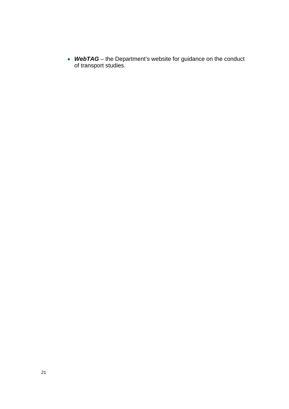*WebTAG* – the Department's website for guidance on the conduct of transport studies.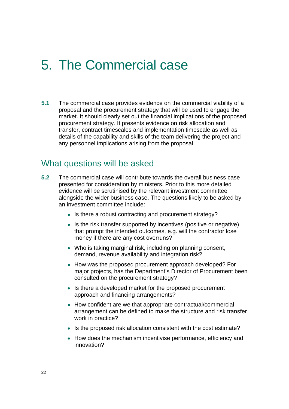# <span id="page-21-0"></span>5. The Commercial case

**5.1** The commercial case provides evidence on the commercial viability of a proposal and the procurement strategy that will be used to engage the market. It should clearly set out the financial implications of the proposed procurement strategy. It presents evidence on risk allocation and transfer, contract timescales and implementation timescale as well as details of the capability and skills of the team delivering the project and any personnel implications arising from the proposal.

### <span id="page-21-1"></span>What questions will be asked

- **5.2** The commercial case will contribute towards the overall business case presented for consideration by ministers. Prior to this more detailed evidence will be scrutinised by the relevant investment committee alongside the wider business case. The questions likely to be asked by an investment committee include:
	- Is there a robust contracting and procurement strategy?
	- Is the risk transfer supported by incentives (positive or negative) that prompt the intended outcomes, e.g. will the contractor lose money if there are any cost overruns?
	- Who is taking marginal risk, including on planning consent, demand, revenue availability and integration risk?
	- How was the proposed procurement approach developed? For major projects, has the Department's Director of Procurement been consulted on the procurement strategy?
	- Is there a developed market for the proposed procurement approach and financing arrangements?
	- How confident are we that appropriate contractual/commercial arrangement can be defined to make the structure and risk transfer work in practice?
	- Is the proposed risk allocation consistent with the cost estimate?
	- How does the mechanism incentivise performance, efficiency and innovation?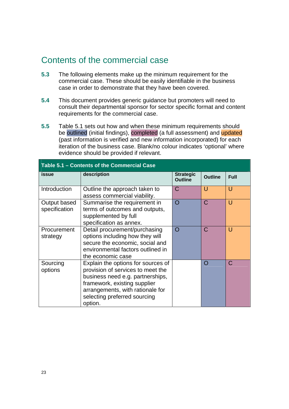### <span id="page-22-0"></span>Contents of the commercial case

- **5.3** The following elements make up the minimum requirement for the commercial case. These should be easily identifiable in the business case in order to demonstrate that they have been covered.
- **5.4** This document provides generic guidance but promoters will need to consult their departmental sponsor for sector specific format and content requirements for the commercial case.
- **5.5** Table 5.1 sets out how and when these minimum requirements should be outlined (initial findings), completed (a full assessment) and updated (past information is verified and new information incorporated) for each iteration of the business case. Blank/no colour indicates 'optional' where evidence should be provided if relevant.

| Table 5.1 - Contents of the Commercial Case |                                                                                                                                                                                                                            |                                    |                |        |  |
|---------------------------------------------|----------------------------------------------------------------------------------------------------------------------------------------------------------------------------------------------------------------------------|------------------------------------|----------------|--------|--|
| issue                                       | description                                                                                                                                                                                                                | <b>Strategic</b><br><b>Outline</b> | <b>Outline</b> | Full   |  |
| Introduction                                | Outline the approach taken to<br>assess commercial viability.                                                                                                                                                              | C                                  | U              | $\cup$ |  |
| Output based<br>specification               | Summarise the requirement in<br>terms of outcomes and outputs,<br>supplemented by full<br>specification as annex.                                                                                                          | O                                  | $\mathsf{C}$   | $\cup$ |  |
| Procurement<br>strategy                     | Detail procurement/purchasing<br>options including how they will<br>secure the economic, social and<br>environmental factors outlined in<br>the economic case                                                              | $\Omega$                           | C              | $\cup$ |  |
| Sourcing<br>options                         | Explain the options for sources of<br>provision of services to meet the<br>business need e.g. partnerships,<br>framework, existing supplier<br>arrangements, with rationale for<br>selecting preferred sourcing<br>option. |                                    | O              | C      |  |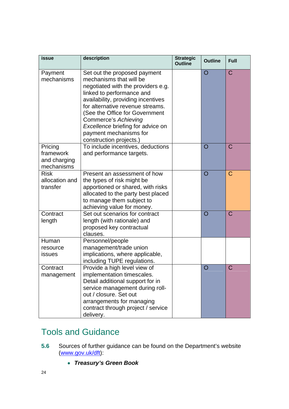| issue                                              | description                                                                                                                                                                                                                                                                                                                                              | <b>Strategic</b><br><b>Outline</b> | <b>Outline</b> | <b>Full</b>  |
|----------------------------------------------------|----------------------------------------------------------------------------------------------------------------------------------------------------------------------------------------------------------------------------------------------------------------------------------------------------------------------------------------------------------|------------------------------------|----------------|--------------|
| Payment<br>mechanisms                              | Set out the proposed payment<br>mechanisms that will be<br>negotiated with the providers e.g.<br>linked to performance and<br>availability, providing incentives<br>for alternative revenue streams.<br>(See the Office for Government<br>Commerce's Achieving<br>Excellence briefing for advice on<br>payment mechanisms for<br>construction projects.) |                                    | $\overline{O}$ | $\mathsf{C}$ |
| Pricing<br>framework<br>and charging<br>mechanisms | To include incentives, deductions<br>and performance targets.                                                                                                                                                                                                                                                                                            |                                    | O              | C            |
| <b>Risk</b><br>allocation and<br>transfer          | Present an assessment of how<br>the types of risk might be<br>apportioned or shared, with risks<br>allocated to the party best placed<br>to manage them subject to<br>achieving value for money.                                                                                                                                                         |                                    | O              | C            |
| Contract<br>length                                 | Set out scenarios for contract<br>length (with rationale) and<br>proposed key contractual<br>clauses.                                                                                                                                                                                                                                                    |                                    | O              | $\mathsf{C}$ |
| Human<br>resource<br>issues                        | Personnel/people<br>management/trade union<br>implications, where applicable,<br>including TUPE regulations.                                                                                                                                                                                                                                             |                                    |                |              |
| Contract<br>management                             | Provide a high level view of<br>implementation timescales.<br>Detail additional support for in<br>service management during roll-<br>out / closure. Set out<br>arrangements for managing<br>contract through project / service<br>delivery.                                                                                                              |                                    | O              | $\mathsf C$  |

- <span id="page-23-0"></span>**5.6** Sources of further guidance can be found on the Department's website [\(www.gov.uk/dft](http://www.gov.uk/dft)):
	- *Treasury's Green Book*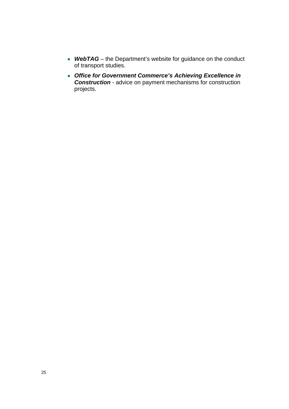- *WebTAG* the Department's website for guidance on the conduct of transport studies.
- *Office for Government Commerce's Achieving Excellence in Construction* - advice on payment mechanisms for construction projects.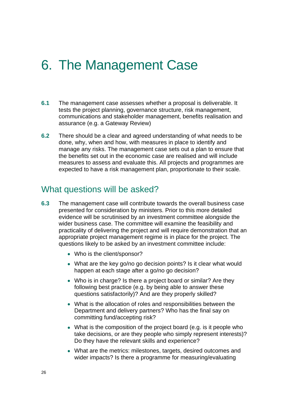# <span id="page-25-0"></span>6. The Management Case

- **6.1** The management case assesses whether a proposal is deliverable. It tests the project planning, governance structure, risk management, communications and stakeholder management, benefits realisation and assurance (e.g. a Gateway Review)
- **6.2** There should be a clear and agreed understanding of what needs to be done, why, when and how, with measures in place to identify and manage any risks. The management case sets out a plan to ensure that the benefits set out in the economic case are realised and will include measures to assess and evaluate this. All projects and programmes are expected to have a risk management plan, proportionate to their scale.

### <span id="page-25-1"></span>What questions will be asked?

- **6.3** The management case will contribute towards the overall business case presented for consideration by ministers. Prior to this more detailed evidence will be scrutinised by an investment committee alongside the wider business case. The committee will examine the feasibility and practicality of delivering the project and will require demonstration that an appropriate project management regime is in place for the project. The questions likely to be asked by an investment committee include:
	- Who is the client/sponsor?
	- What are the key go/no go decision points? Is it clear what would happen at each stage after a go/no go decision?
	- Who is in charge? Is there a project board or similar? Are they following best practice (e.g. by being able to answer these questions satisfactorily)? And are they properly skilled?
	- What is the allocation of roles and responsibilities between the Department and delivery partners? Who has the final say on committing fund/accepting risk?
	- What is the composition of the project board (e.g. is it people who take decisions, or are they people who simply represent interests)? Do they have the relevant skills and experience?
	- What are the metrics: milestones, targets, desired outcomes and wider impacts? Is there a programme for measuring/evaluating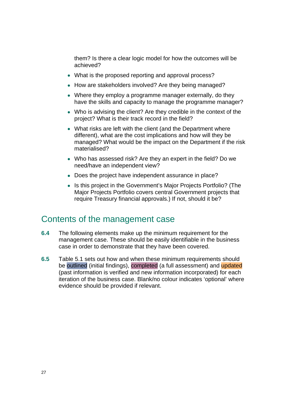them? Is there a clear logic model for how the outcomes will be achieved?

- What is the proposed reporting and approval process?
- How are stakeholders involved? Are they being managed?
- Where they employ a programme manager externally, do they have the skills and capacity to manage the programme manager?
- Who is advising the client? Are they credible in the context of the project? What is their track record in the field?
- What risks are left with the client (and the Department where different), what are the cost implications and how will they be managed? What would be the impact on the Department if the risk materialised?
- Who has assessed risk? Are they an expert in the field? Do we need/have an independent view?
- Does the project have independent assurance in place?
- Is this project in the Government's Major Projects Portfolio? (The Major Projects Portfolio covers central Government projects that require Treasury financial approvals.) If not, should it be?

### <span id="page-26-0"></span>Contents of the management case

- **6.4** The following elements make up the minimum requirement for the management case. These should be easily identifiable in the business case in order to demonstrate that they have been covered.
- **6.5** Table 5.1 sets out how and when these minimum requirements should be outlined (initial findings), completed (a full assessment) and updated (past information is verified and new information incorporated) for each iteration of the business case. Blank/no colour indicates 'optional' where evidence should be provided if relevant.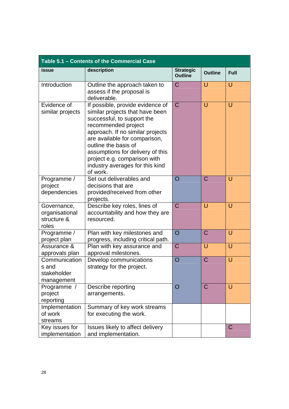| Table 5.1 - Contents of the Commercial Case           |                                                                                                                                                                                                                                                                                                                                          |                                    |                |             |  |
|-------------------------------------------------------|------------------------------------------------------------------------------------------------------------------------------------------------------------------------------------------------------------------------------------------------------------------------------------------------------------------------------------------|------------------------------------|----------------|-------------|--|
| <b>issue</b>                                          | description                                                                                                                                                                                                                                                                                                                              | <b>Strategic</b><br><b>Outline</b> | <b>Outline</b> | <b>Full</b> |  |
| Introduction                                          | Outline the approach taken to<br>assess if the proposal is<br>deliverable.                                                                                                                                                                                                                                                               | $\mathsf{C}$                       | U              | $\cup$      |  |
| Evidence of<br>similar projects                       | If possible, provide evidence of<br>similar projects that have been<br>successful, to support the<br>recommended project<br>approach. If no similar projects<br>are available for comparison,<br>outline the basis of<br>assumptions for delivery of this<br>project e.g. comparison with<br>industry averages for this kind<br>of work. | $\mathsf{C}$                       | U              | U           |  |
| Programme /<br>project<br>dependencies                | Set out deliverables and<br>decisions that are<br>provided/received from other<br>projects.                                                                                                                                                                                                                                              | O                                  | C              | U           |  |
| Governance,<br>organisational<br>structure &<br>roles | Describe key roles, lines of<br>accountability and how they are<br>resourced.                                                                                                                                                                                                                                                            | $\mathcal C$                       | $\cup$         | $\cup$      |  |
| Programme /<br>project plan                           | Plan with key milestones and<br>progress, including critical path.                                                                                                                                                                                                                                                                       | $\overline{O}$                     | $\overline{C}$ | U           |  |
| Assurance &<br>approvals plan                         | Plan with key assurance and<br>approval milestones.                                                                                                                                                                                                                                                                                      | $\mathsf{C}$                       | U              | $\cup$      |  |
| Communication<br>s and<br>stakeholder<br>management   | Develop communications<br>strategy for the project.                                                                                                                                                                                                                                                                                      | $\overline{O}$                     | C              | U           |  |
| Programme /<br>project<br>reporting                   | Describe reporting<br>arrangements.                                                                                                                                                                                                                                                                                                      | Ő                                  | C              | U           |  |
| Implementation<br>of work<br>streams                  | Summary of key work streams<br>for executing the work.                                                                                                                                                                                                                                                                                   |                                    |                |             |  |
| Key issues for<br>implementation                      | Issues likely to affect delivery<br>and implementation.                                                                                                                                                                                                                                                                                  |                                    |                | C           |  |